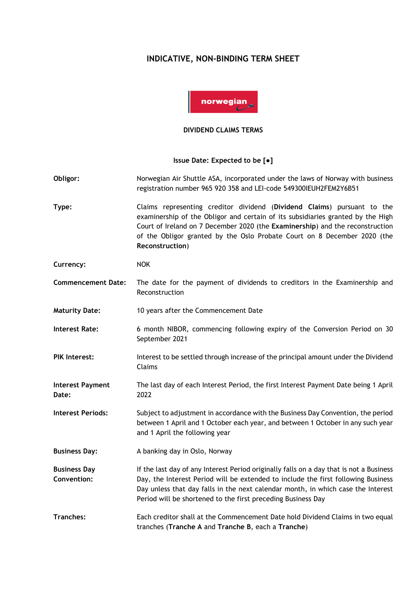## **INDICATIVE, NON-BINDING TERM SHEET**



## **DIVIDEND CLAIMS TERMS**

## **Issue Date: Expected to be [●]**

- **Obligor:** Norwegian Air Shuttle ASA, incorporated under the laws of Norway with business registration number 965 920 358 and LEI-code 549300IEUH2FEM2Y6B51
- **Type:** Claims representing creditor dividend (**Dividend Claims**) pursuant to the examinership of the Obligor and certain of its subsidiaries granted by the High Court of Ireland on 7 December 2020 (the **Examinership**) and the reconstruction of the Obligor granted by the Oslo Probate Court on 8 December 2020 (the **Reconstruction**)
- **Currency:** NOK
- **Commencement Date:** The date for the payment of dividends to creditors in the Examinership and Reconstruction
- **Maturity Date:** 10 years after the Commencement Date
- **Interest Rate:** 6 month NIBOR, commencing following expiry of the Conversion Period on 30 September 2021
- PIK Interest: Interest to be settled through increase of the principal amount under the Dividend Claims
- **Interest Payment Date:** The last day of each Interest Period, the first Interest Payment Date being 1 April 2022
- **Interest Periods:** Subject to adjustment in accordance with the Business Day Convention, the period between 1 April and 1 October each year, and between 1 October in any such year and 1 April the following year
- **Business Day:** A banking day in Oslo, Norway
- **Business Day Convention:** If the last day of any Interest Period originally falls on a day that is not a Business Day, the Interest Period will be extended to include the first following Business Day unless that day falls in the next calendar month, in which case the Interest Period will be shortened to the first preceding Business Day
- **Tranches:** Each creditor shall at the Commencement Date hold Dividend Claims in two equal tranches (**Tranche A** and **Tranche B**, each a **Tranche**)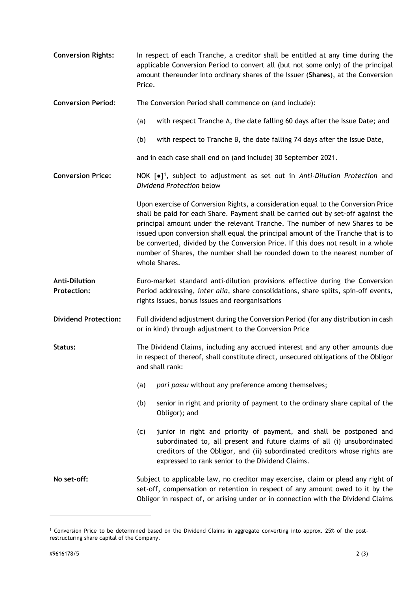| <b>Conversion Rights:</b>                  | In respect of each Tranche, a creditor shall be entitled at any time during the<br>applicable Conversion Period to convert all (but not some only) of the principal<br>amount thereunder into ordinary shares of the Issuer (Shares), at the Conversion<br>Price.                                                                                                                                                                                                                                                               |
|--------------------------------------------|---------------------------------------------------------------------------------------------------------------------------------------------------------------------------------------------------------------------------------------------------------------------------------------------------------------------------------------------------------------------------------------------------------------------------------------------------------------------------------------------------------------------------------|
| <b>Conversion Period:</b>                  | The Conversion Period shall commence on (and include):                                                                                                                                                                                                                                                                                                                                                                                                                                                                          |
|                                            | with respect Tranche A, the date falling 60 days after the Issue Date; and<br>(a)                                                                                                                                                                                                                                                                                                                                                                                                                                               |
|                                            | (b)<br>with respect to Tranche B, the date falling 74 days after the Issue Date,                                                                                                                                                                                                                                                                                                                                                                                                                                                |
|                                            | and in each case shall end on (and include) 30 September 2021.                                                                                                                                                                                                                                                                                                                                                                                                                                                                  |
| <b>Conversion Price:</b>                   | NOK $[e]$ <sup>1</sup> , subject to adjustment as set out in Anti-Dilution Protection and<br>Dividend Protection below                                                                                                                                                                                                                                                                                                                                                                                                          |
|                                            | Upon exercise of Conversion Rights, a consideration equal to the Conversion Price<br>shall be paid for each Share. Payment shall be carried out by set-off against the<br>principal amount under the relevant Tranche. The number of new Shares to be<br>issued upon conversion shall equal the principal amount of the Tranche that is to<br>be converted, divided by the Conversion Price. If this does not result in a whole<br>number of Shares, the number shall be rounded down to the nearest number of<br>whole Shares. |
| <b>Anti-Dilution</b><br><b>Protection:</b> | Euro-market standard anti-dilution provisions effective during the Conversion<br>Period addressing, inter alia, share consolidations, share splits, spin-off events,<br>rights issues, bonus issues and reorganisations                                                                                                                                                                                                                                                                                                         |
| <b>Dividend Protection:</b>                | Full dividend adjustment during the Conversion Period (for any distribution in cash<br>or in kind) through adjustment to the Conversion Price                                                                                                                                                                                                                                                                                                                                                                                   |
| Status:                                    | The Dividend Claims, including any accrued interest and any other amounts due<br>in respect of thereof, shall constitute direct, unsecured obligations of the Obligor<br>and shall rank:                                                                                                                                                                                                                                                                                                                                        |
|                                            | pari passu without any preference among themselves;<br>(a)                                                                                                                                                                                                                                                                                                                                                                                                                                                                      |
|                                            | senior in right and priority of payment to the ordinary share capital of the<br>(b)<br>Obligor); and                                                                                                                                                                                                                                                                                                                                                                                                                            |
|                                            | junior in right and priority of payment, and shall be postponed and<br>(c)<br>subordinated to, all present and future claims of all (i) unsubordinated<br>creditors of the Obligor, and (ii) subordinated creditors whose rights are<br>expressed to rank senior to the Dividend Claims.                                                                                                                                                                                                                                        |
| No set-off:                                | Subject to applicable law, no creditor may exercise, claim or plead any right of<br>set-off, compensation or retention in respect of any amount owed to it by the<br>Obligor in respect of, or arising under or in connection with the Dividend Claims                                                                                                                                                                                                                                                                          |

<span id="page-1-0"></span><sup>1</sup> Conversion Price to be determined based on the Dividend Claims in aggregate converting into approx. 25% of the postrestructuring share capital of the Company.